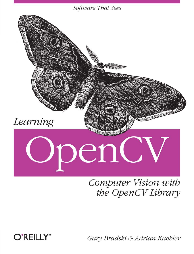Software That Sees



Computer Vision with the OpenCV Library

O'REILLY®

Gary Bradski & Adrian Kaebler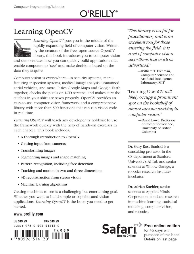# O'REILLY®

# Learning OpenCV



Learning OpenCV puts you in the middle of the rapidly expanding field of computer vision. Written by the creators of the free, open source OpenCV library, this book introduces you to computer vision

and demonstrates how you can quickly build applications that enable computers to "see" and make decisions based on the data they acquire.

Computer vision is everywhere-in security systems, manufacturing inspection systems, medical image analysis, unmanned aerial vehicles, and more. It ties Google Maps and Google Earth together, checks the pixels on LCD screens, and makes sure the stitches in your shirt are sewn properly. OpenCV provides an easy-to-use computer vision framework and a comprehensive library with more than 500 functions that can run vision code in real time.

Learning OpenCV will teach any developer or hobbyist to use the framework quickly with the help of hands-on exercises in each chapter. This book includes:

- A thorough introduction to OpenCV
- Getting input from cameras
- Transforming images
- Segmenting images and shape matching
- Pattern recognition, including face detection
- Tracking and motion in two and three dimensions
- 3D reconstruction from stereo vision
- Machine learning algorithms

Getting machines to see is a challenging but entertaining goal. Whether you want to build simple or sophisticated vision applications, *Learning OpenCV* is the book you need to get started.

#### www.oreilly.com

**US \$49.99 CAN \$49.99** ISBN: 978-0-596-51613-0 54999 9 780596 516130

"This library is useful for practitioners, and is an excellent tool for those entering the field; it is a set of computer vision algorithms that work as advertised."

> -William T. Freeman. **Computer Science and Artificial Intelligence** Laboratory, MIT

"Learning OpenCV will likely occupy a prominent spot on the bookshelf of almost anyone working in computer vision."

> -David Lowe, Professor of Computer Science, **University of British** Columbia

Dr. Gary Rost Bradski is a consulting professor in the CS department at Stanford University's AI Lab and senior scientist at Willow Garage, a robotics research institute/ incubator.

Dr. Adrian Kaehler, senior scientist at Applied Minds Corporation, conducts research in machine learning, statistical modeling, computer vision, and robotics.



Free online edition for 45 days with purchase of this book. Details on last page.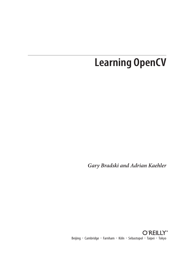# **Learning OpenCV**

*Gary Bradski and Adrian Kaehler*

Beijing · Cambridge · Farnham · Köln · Sebastopol · Taipei · Tokyo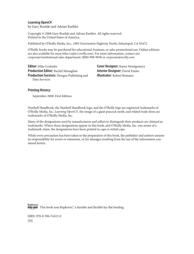#### **Learning OpenCV**

by Gary Bradski and Adrian Kaehler

Copyright © 2008 Gary Bradski and Adrian Kaehler. All rights reserved. Printed in the United States of America.

Published by O'Reilly Media, Inc., 1005 Gravenstein Highway North, Sebastopol, CA 95472.

O'Reilly books may be purchased for educational, business, or sales promotional use. Online editions are also available for most titles (*safari.oreilly.com*). For more information, contact our corporate/institutional sales department: (800) 998-9938 or *corporate@oreilly.com*.

**Editor:** Mike Loukides **Production Editor:** Rachel Monaghan **Production Services:** Newgen Publishing and Data Services

**Cover Designer:** Karen Montgomery **Interior Designer:** David Futato **Illustrator:** Robert Romano

#### **Printing History:**

September 2008: First Edition.

Nutshell Handbook, the Nutshell Handbook logo, and the O'Reilly logo are registered trademarks of O'Reilly Media, Inc. *Learning OpenCV*, the image of a giant peacock moth, and related trade dress are trademarks of O'Reilly Media, Inc.

Many of the designations used by manufacturers and sellers to distinguish their products are claimed as trademarks. Where those designations appear in this book, and O'Reilly Media, Inc. was aware of a trademark claim, the designations have been printed in caps or initial caps.

While every precaution has been taken in the preparation of this book, the publisher and authors assume no responsibility for errors or omissions, or for damages resulting from the use of the information contained herein.

RepKover.<br>■This book uses Repkover,™ a durable and flexible lay-flat binding.

ISBN: 978-0-596-51613-0  $[M]$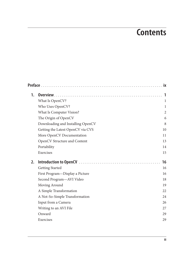# **Contents**

| 1. |                                   | $\mathbf{1}$   |
|----|-----------------------------------|----------------|
|    | What Is OpenCV?                   | 1              |
|    | Who Uses OpenCV?                  | $\mathbf{1}$   |
|    | What Is Computer Vision?          | $\overline{2}$ |
|    | The Origin of OpenCV              | 6              |
|    | Downloading and Installing OpenCV | 8              |
|    | Getting the Latest OpenCV via CVS | 10             |
|    | More OpenCV Documentation         | 11             |
|    | OpenCV Structure and Content      | 13             |
|    | Portability                       | 14             |
|    | Exercises                         | 15             |
| 2. |                                   | 16             |
|    | <b>Getting Started</b>            | 16             |
|    | First Program-Display a Picture   | 16             |
|    | Second Program-AVI Video          | 18             |
|    | Moving Around                     | 19             |
|    | A Simple Transformation           | 22             |
|    | A Not-So-Simple Transformation    | 24             |
|    | Input from a Camera               | 26             |
|    | Writing to an AVI File            | 27             |
|    | Onward                            | 29             |
|    | Exercises                         | 29             |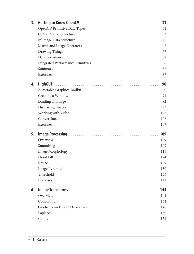| 3. |                                          | 31  |
|----|------------------------------------------|-----|
|    | OpenCV Primitive Data Types              | 31  |
|    | <b>CvMat Matrix Structure</b>            | 33  |
|    | IplImage Data Structure                  | 42  |
|    | Matrix and Image Operators               | 47  |
|    | Drawing Things                           | 77  |
|    | Data Persistence                         | 82  |
|    | <b>Integrated Performance Primitives</b> | 86  |
|    | Summary                                  | 87  |
|    | Exercises                                | 87  |
| 4. |                                          | 90  |
|    | A Portable Graphics Toolkit              | 90  |
|    | Creating a Window                        | 91  |
|    | Loading an Image                         | 92  |
|    | Displaying Images                        | 93  |
|    | Working with Video                       | 102 |
|    | ConvertImage                             | 106 |
|    | Exercises                                | 107 |
| 5. |                                          | 109 |
|    | Overview                                 | 109 |
|    | Smoothing                                | 109 |
|    | Image Morphology                         | 115 |
|    | Flood Fill                               | 124 |
|    | Resize                                   | 129 |
|    | Image Pyramids                           | 130 |
|    | Threshold                                | 135 |
|    | Exercises                                | 141 |
| 6. |                                          | 144 |
|    | Overview                                 | 144 |
|    | Convolution                              | 144 |
|    | Gradients and Sobel Derivatives          | 148 |
|    | Laplace                                  | 150 |
|    | Canny                                    | 151 |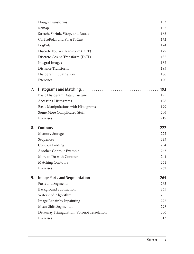|    | Hough Transforms                            | 153 |
|----|---------------------------------------------|-----|
|    | Remap                                       | 162 |
|    | Stretch, Shrink, Warp, and Rotate           | 163 |
|    | CartToPolar and PolarToCart                 | 172 |
|    | LogPolar                                    | 174 |
|    | Discrete Fourier Transform (DFT)            | 177 |
|    | Discrete Cosine Transform (DCT)             | 182 |
|    | <b>Integral Images</b>                      | 182 |
|    | Distance Transform                          | 185 |
|    | Histogram Equalization                      | 186 |
|    | Exercises                                   | 190 |
| 7. |                                             | 193 |
|    | Basic Histogram Data Structure              | 195 |
|    | <b>Accessing Histograms</b>                 | 198 |
|    | Basic Manipulations with Histograms         | 199 |
|    | Some More Complicated Stuff                 | 206 |
|    | Exercises                                   | 219 |
| 8. |                                             | 222 |
|    | Memory Storage                              | 222 |
|    | Sequences                                   | 223 |
|    | <b>Contour Finding</b>                      | 234 |
|    | Another Contour Example                     | 243 |
|    | More to Do with Contours                    | 244 |
|    | <b>Matching Contours</b>                    | 251 |
|    | Exercises                                   | 262 |
| 9. | Image Parts and Segmentation                | 265 |
|    | Parts and Segments                          | 265 |
|    | <b>Background Subtraction</b>               | 265 |
|    | Watershed Algorithm                         | 295 |
|    | Image Repair by Inpainting                  | 297 |
|    | Mean-Shift Segmentation                     | 298 |
|    |                                             |     |
|    | Delaunay Triangulation, Voronoi Tesselation | 300 |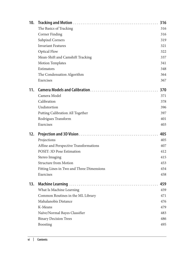| 10. |                                           | 316 |
|-----|-------------------------------------------|-----|
|     | The Basics of Tracking                    | 316 |
|     | <b>Corner Finding</b>                     | 316 |
|     | Subpixel Corners                          | 319 |
|     | <b>Invariant Features</b>                 | 321 |
|     | <b>Optical Flow</b>                       | 322 |
|     | Mean-Shift and Camshift Tracking          | 337 |
|     | Motion Templates                          | 341 |
|     | Estimators                                | 348 |
|     | The Condensation Algorithm                | 364 |
|     | Exercises                                 | 367 |
| 11. |                                           | 370 |
|     | Camera Model                              | 371 |
|     | Calibration                               | 378 |
|     | Undistortion                              | 396 |
|     | Putting Calibration All Together          | 397 |
|     | Rodrigues Transform                       | 401 |
|     | Exercises                                 | 403 |
| 12. |                                           | 405 |
|     | Projections                               | 405 |
|     | Affine and Perspective Transformations    | 407 |
|     | POSIT: 3D Pose Estimation                 | 412 |
|     | Stereo Imaging                            | 415 |
|     | Structure from Motion                     | 453 |
|     | Fitting Lines in Two and Three Dimensions | 454 |
|     | Exercises                                 | 458 |
| 13. |                                           | 459 |
|     | What Is Machine Learning                  | 459 |
|     | Common Routines in the ML Library         | 471 |
|     | Mahalanobis Distance                      | 476 |
|     | K-Means                                   | 479 |
|     | Naïve/Normal Bayes Classifier             | 483 |
|     | <b>Binary Decision Trees</b>              | 486 |
|     | Boosting                                  | 495 |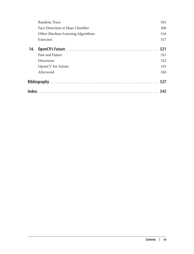|     | Random Trees                      | 501 |
|-----|-----------------------------------|-----|
|     | Face Detection or Haar Classifier | 506 |
|     | Other Machine Learning Algorithms | 516 |
|     | Exercises                         | 517 |
| 14. |                                   | 521 |
|     | Past and Future                   | 521 |
|     | Directions                        | 522 |
|     | OpenCV for Artists                | 525 |
|     | Afterword                         | 526 |
|     |                                   |     |
|     |                                   | 543 |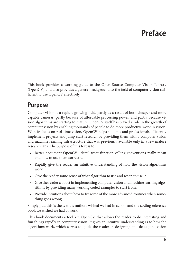# **Preface**

This book provides a working guide to the Open Source Computer Vision Library (OpenCV) and also provides a general background to the field of computer vision sufficient to use OpenCV effectively.

## **Purpose**

Computer vision is a rapidly growing field, partly as a result of both cheaper and more capable cameras, partly because of affordable processing power, and partly because vision algorithms are starting to mature. OpenCV itself has played a role in the growth of computer vision by enabling thousands of people to do more productive work in vision. With its focus on real-time vision, OpenCV helps students and professionals efficiently implement projects and jump-start research by providing them with a computer vision and machine learning infrastructure that was previously available only in a few mature research labs. The purpose of this text is to:

- Better document OpenCV—detail what function calling conventions really mean and how to use them correctly.
- Rapidly give the reader an intuitive understanding of how the vision algorithms work.
- Give the reader some sense of what algorithm to use and when to use it.
- Give the reader a boost in implementing computer vision and machine learning algorithms by providing many working coded examples to start from.
- Provide intuitions about how to fix some of the more advanced routines when something goes wrong.

Simply put, this is the text the authors wished we had in school and the coding reference book we wished we had at work.

This book documents a tool kit, OpenCV, that allows the reader to do interesting and fun things rapidly in computer vision. It gives an intuitive understanding as to how the algorithms work, which serves to guide the reader in designing and debugging vision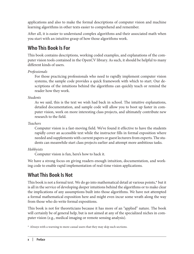applications and also to make the formal descriptions of computer vision and machine learning algorithms in other texts easier to comprehend and remember.

After all, it is easier to understand complex algorithms and their associated math when you start with an intuitive grasp of how those algorithms work.

#### **Who This Book Is For**

This book contains descriptions, working coded examples, and explanations of the computer vision tools contained in the OpenCV library. As such, it should be helpful to many different kinds of users.

*Professionals*

For those practicing professionals who need to rapidly implement computer vision systems, the sample code provides a quick framework with which to start. Our descriptions of the intuitions behind the algorithms can quickly teach or remind the reader how they work.

*Students*

As we said, this is the text we wish had back in school. The intuitive explanations, detailed documentation, and sample code will allow you to boot up faster in computer vision, work on more interesting class projects, and ultimately contribute new research to the field.

*Teachers*

Computer vision is a fast-moving field. We've found it effective to have the students rapidly cover an accessible text while the instructor fills in formal exposition where needed and supplements with current papers or guest lecturers from experts. The students can meanwhile start class projects earlier and attempt more ambitious tasks.

*Hobbyists*

Computer vision is fun, here's how to hack it.

We have a strong focus on giving readers enough intuition, documentation, and working code to enable rapid implementation of real-time vision applications.

#### **What This Book Is Not**

This book is not a formal text. We do go into mathematical detail at various points,\* but it is all in the service of developing deeper intuitions behind the algorithms or to make clear the implications of any assumptions built into those algorithms. We have not attempted a formal mathematical exposition here and might even incur some wrath along the way from those who do write formal expositions.

This book is not for theoreticians because it has more of an "applied" nature. The book will certainly be of general help, but is not aimed at any of the specialized niches in computer vision (e.g., medical imaging or remote sensing analysis).

\* Always with a warning to more casual users that they may skip such sections.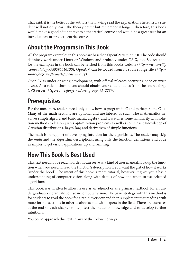That said, it is the belief of the authors that having read the explanations here first, a student will not only learn the theory better but remember it longer. Therefore, this book would make a good adjunct text to a theoretical course and would be a great text for an introductory or project-centric course.

# **About the Programs in This Book**

All the program examples in this book are based on OpenCV version 2.0. The code should definitely work under Linux or Windows and probably under OS-X, too. Source code for the examples in the book can be fetched from this book's website (*http://www.oreilly .com/catalog/9780596516130*). OpenCV can be loaded from its source forge site (*http:// sourceforge.net/projects/opencvlibrary*).

OpenCV is under ongoing development, with official releases occurring once or twice a year. As a rule of thumb, you should obtain your code updates from the source forge CVS server (*http://sourceforge.net/cvs/?group\_id=22870*).

# **Prerequisites**

For the most part, readers need only know how to program in C and perhaps some C++. Many of the math sections are optional and are labeled as such. The mathematics involves simple algebra and basic matrix algebra, and it assumes some familiarity with solution methods to least-squares optimization problems as well as some basic knowledge of Gaussian distributions, Bayes' law, and derivatives of simple functions.

The math is in support of developing intuition for the algorithms. The reader may skip the *math* and the algorithm descriptions, using only the function definitions and code examples to get vision applications up and running.

### **How This Book Is Best Used**

This text need not be read in order. It can serve as a kind of user manual: look up the function when you need it; read the function's description if you want the gist of how it works "under the hood". The intent of this book is more tutorial, however. It gives you a basic understanding of computer vision along with details of how and when to use selected algorithms.

This book was written to allow its use as an adjunct or as a primary textbook for an undergraduate or graduate course in computer vision. The basic strategy with this method is for students to read the book for a rapid overview and then supplement that reading with more formal sections in other textbooks and with papers in the field. There are exercises at the end of each chapter to help test the student's knowledge and to develop further intuitions.

You could approach this text in any of the following ways.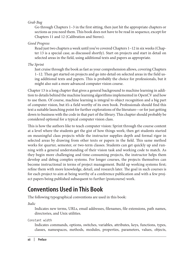#### *Grab Bag*

Go through Chapters 1–3 in the first sitting, then just hit the appropriate chapters or sections as you need them. This book does not have to be read in sequence, except for Chapters 11 and 12 (Calibration and Stereo).

#### *Good Progress*

Read just two chapters a week until you've covered Chapters 1–12 in six weeks (Chapter 13 is a special case, as discussed shortly). Start on projects and start in detail on selected areas in the field, using additional texts and papers as appropriate.

#### *The Sprint*

Just cruise through the book as fast as your comprehension allows, covering Chapters 1–12. Then get started on projects and go into detail on selected areas in the field using additional texts and papers. This is probably the choice for professionals, but it might also suit a more advanced computer vision course.

Chapter 13 is a long chapter that gives a general background to machine learning in addition to details behind the machine learning algorithms implemented in OpenCV and how to use them. Of course, machine learning is integral to object recognition and a big part of computer vision, but it's a field worthy of its own book. Professionals should find this text a suitable launching point for further explorations of the literature—or for just getting down to business with the code in that part of the library. This chapter should probably be considered optional for a typical computer vision class.

This is how the authors like to teach computer vision: Sprint through the course content at a level where the students get the gist of how things work; then get students started on meaningful class projects while the instructor supplies depth and formal rigor in selected areas by drawing from other texts or papers in the field. This same method works for quarter, semester, or two-term classes. Students can get quickly up and running with a general understanding of their vision task and working code to match. As they begin more challenging and time-consuming projects, the instructor helps them develop and debug complex systems. For longer courses, the projects themselves can become instructional in terms of project management. Build up working systems first; refine them with more knowledge, detail, and research later. The goal in such courses is for each project to aim at being worthy of a conference publication and with a few project papers being published subsequent to further (postcourse) work.

### **Conventions Used in This Book**

The following typographical conventions are used in this book:

*Italic* 

Indicates new terms, URLs, email addresses, filenames, file extensions, path names, directories, and Unix utilities.

Constant width

Indicates commands, options, switches, variables, attributes, keys, functions, types, classes, namespaces, methods, modules, properties, parameters, values, objects,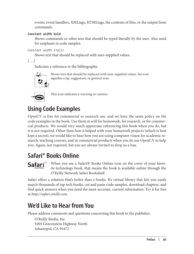events, event handlers, XMLtags, HTMLtags, the contents of files, or the output from commands.

#### **Constant width bold**

Shows commands or other text that should be typed literally by the user. Also used for emphasis in code samples.

#### *Constant width italic*

Shows text that should be replaced with user-supplied values.

 $[ \ldots ]$ 

Indicates a reference to the bibliography.



Shows text that should be replaced with user-supplied values. his icon signifies a tip, suggestion, or general note.



This icon indicates a warning or caution.

# **Using Code Examples**

OpenCV is free for commercial or research use, and we have the same policy on the code examples in the book. Use them at will for homework, for research, or for commercial products. We would very much appreciate referencing this book when you do, but it is not required. Other than how it helped with your homework projects (which is best kept a secret), we would like to hear how you are using computer vision for academic research, teaching courses, and in commercial products when you do use OpenCV to help you. Again, not required, but you are always invited to drop us a line.

### **Safari® Books Online**

# Safari<sup>"</sup>

When you see a Safari® Books Online icon on the cover of your favorite technology book, that means the book is available online through the O'Reilly Network Safari Bookshelf.

Safari offers a solution that's better than e-books. It's virtual library that lets you easily search thousands of top tech books, cut and paste code samples, download chapters, and find quick answers when you need the most accurate, current information. Try it for free at *http://safari.oreilly.com*.

### **We'd Like to Hear from You**

Please address comments and questions concerning this book to the publisher:

O'Reilly Media, Inc. 1005 Gravenstein Highway North Sebastopol, CA 95472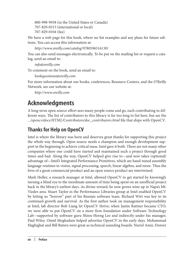800-998-9938 (in the United States or Canada) 707-829-0515 (international or local) 707-829-0104 (fax)

We have a web page for this book, where we list examples and any plans for future editions. You can access this information at:

*http://www.oreilly.com/catalog/9780596516130/*

You can also send messages electronically. To be put on the mailing list or request a catalog, send an email to:

*info@oreilly.com* 

To comment on the book, send an email to:

*bookquestions@oreilly.com*

For more information about our books, conferences, Resource Centers, and the O'Reilly Network, see our website at:

*http://www.oreilly.com*

# **Acknowledgments**

A long-term open source effort sees many people come and go, each contributing in different ways. The list of contributors to this library is far too long to list here, but see the .../opencv/docs/HTML/Contributors/doc\_contributors.html file that ships with OpenCV.

#### **Thanks for Help on OpenCV**

Intel is where the library was born and deserves great thanks for supporting this project the whole way through. Open source needs a champion and enough development support in the beginning to achieve critical mass. Intel gave it both. There are not many other companies where one could have started and maintained such a project through good times and bad. Along the way, OpenCV helped give rise to—and now takes (optional) advantage of—Intel's Integrated Performance Primitives, which are hand-tuned assembly language routines in vision, signal processing, speech, linear algebra, and more. Thus the lives of a great commercial product and an open source product are intertwined.

Mark Holler, a research manager at Intel, allowed OpenCV to get started by knowingly turning a blind eye to the inordinate amount of time being spent on an unofficial project back in the library's earliest days. As divine reward, he now grows wine up in Napa's Mt. Vieder area. Stuart Taylor in the Performance Libraries group at Intel enabled OpenCV by letting us "borrow" part of his Russian software team. Richard Wirt was key to its continued growth and survival. As the first author took on management responsibility at Intel, lab director Bob Liang let OpenCV thrive; when Justin Rattner became CTO, we were able to put OpenCV on a more firm foundation under Software Technology Lab—supported by software guru Shinn-Horng Lee and indirectly under his manager, Paul Wiley. Omid Moghadam helped advertise OpenCV in the early days. Mohammad Haghighat and Bill Butera were great as technical sounding boards. Nuriel Amir, Denver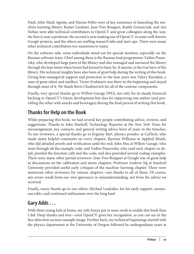Dash, John Mark Agosta, and Marzia Polito were of key assistance in launching the machine learning library. Rainer Lienhart, Jean-Yves Bouguet, Radek Grzeszczuk, and Ara Nefian were able technical contributors to OpenCV and great colleagues along the way; the first is now a professor, the second is now making use of OpenCV in some well-known Google projects, and the others are staffing research labs and start-ups. There were many other technical contributors too numerous to name.

On the software side, some individuals stand out for special mention, especially on the Russian software team. Chief among these is the Russian lead programmer Vadim Pisarevsky, who developed large parts of the library and also managed and nurtured the library through the lean times when boom had turned to bust; he, if anyone, is the true hero of the library. His technical insights have also been of great help during the writing of this book. Giving him managerial support and protection in the lean years was Valery Kuriakin, a man of great talent and intellect. Victor Eruhimov was there in the beginning and stayed through most of it. We thank Boris Chudinovich for all of the contour components.

Finally, very special thanks go to Willow Garage [WG], not only for its steady financial backing to OpenCV's future development but also for supporting one author (and providing the other with snacks and beverages) during the final period of writing this book.

#### **Thanks for Help on the Book**

While preparing this book, we had several key people contributing advice, reviews, and suggestions. Thanks to John Markoff, Technology Reporter at the *New York Times* for encouragement, key contacts, and general writing advice born of years in the trenches. To our reviewers, a special thanks go to Evgeniy Bart, physics postdoc at CalTech, who made many helpful comments on every chapter; Kjerstin Williams at Applied Minds, who did detailed proofs and verification until the end; John Hsu at Willow Garage, who went through all the example code; and Vadim Pisarevsky, who read each chapter in detail, proofed the function calls and the code, and also provided several coding examples. There were many other partial reviewers. Jean-Yves Bouguet at Google was of great help in discussions on the calibration and stereo chapters. Professor Andrew Ng at Stanford University provided useful early critiques of the machine learning chapter. There were numerous other reviewers for various chapters—our thanks to all of them. Of course, any errors result from our own ignorance or misunderstanding, not from the advice we received.

Finally, many thanks go to our editor, Michael Loukides, for his early support, numerous edits, and continued enthusiasm over the long haul.

#### **Gary Adds . . .**

With three young kids at home, my wife Sonya put in more work to enable this book than I did. Deep thanks and love—even OpenCV gives her recognition, as you can see in the face detection section example image. Further back, my technical beginnings started with the physics department at the University of Oregon followed by undergraduate years at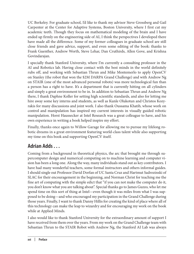UC Berkeley. For graduate school, I'd like to thank my advisor Steve Grossberg and Gail Carpenter at the Center for Adaptive Systems, Boston University, where I first cut my academic teeth. Though they focus on mathematical modeling of the brain and I have ended up firmly on the engineering side of AI, I think the perspectives I developed there have made all the difference. Some of my former colleagues in graduate school are still close friends and gave advice, support, and even some editing of the book: thanks to Frank Guenther, Andrew Worth, Steve Lehar, Dan Cruthirds, Allen Gove, and Krishna Govindarajan.

I specially thank Stanford University, where I'm currently a consulting professor in the AI and Robotics lab. Having close contact with the best minds in the world definitely rubs off, and working with Sebastian Thrun and Mike Montemerlo to apply OpenCV on Stanley (the robot that won the \$2M DARPA Grand Challenge) and with Andrew Ng on STAIR (one of the most advanced personal robots) was more technological fun than a person has a right to have. It's a department that is currently hitting on all cylinders and simply a great environment to be in. In addition to Sebastian Thrun and Andrew Ng there, I thank Daphne Koller for setting high scientific standards, and also for letting me hire away some key interns and students, as well as Kunle Olukotun and Christos Kozyrakis for many discussions and joint work. I also thank Oussama Khatib, whose work on control and manipulation has inspired my current interests in visually guided robotic manipulation. Horst Haussecker at Intel Research was a great colleague to have, and his own experience in writing a book helped inspire my effort.

Finally, thanks once again to Willow Garage for allowing me to pursue my lifelong robotic dreams in a great environment featuring world-class talent while also supporting my time on this book and supporting OpenCV itself.

#### **Adrian Adds . . .**

Coming from a background in theoretical physics, the arc that brought me through supercomputer design and numerical computing on to machine learning and computer vision has been a long one. Along the way, many individuals stand out as key contributors. I have had many wonderful teachers, some formal instructors and others informal guides. I should single out Professor David Dorfan of UC Santa Cruz and Hartmut Sadrozinski of SLAC for their encouragement in the beginning, and Norman Christ for teaching me the fine art of computing with the simple edict that "if you can not make the computer do it, you don't know what you are talking about". Special thanks go to James Guzzo, who let me spend time on this sort of thing at Intel—even though it was miles from what I was supposed to be doing—and who encouraged my participation in the Grand Challenge during those years. Finally, I want to thank Danny Hillis for creating the kind of place where all of this technology can make the leap to wizardry and for encouraging my work on the book while at Applied Minds.

I also would like to thank Stanford University for the extraordinary amount of support I have received from them over the years. From my work on the Grand Challenge team with Sebastian Thrun to the STAIR Robot with Andrew Ng, the Stanford AI Lab was always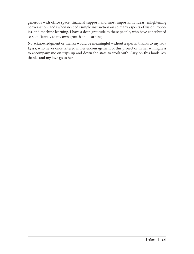generous with office space, financial support, and most importantly ideas, enlightening conversation, and (when needed) simple instruction on so many aspects of vision, robotics, and machine learning. I have a deep gratitude to these people, who have contributed so significantly to my own growth and learning.

No acknowledgment or thanks would be meaningful without a special thanks to my lady Lyssa, who never once faltered in her encouragement of this project or in her willingness to accompany me on trips up and down the state to work with Gary on this book. My thanks and my love go to her.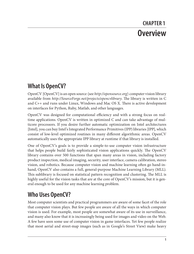# **CHAPTER 1 Overview**

### **What Is OpenCV?**

OpenCV [OpenCV] is an open source (see *http://opensource.org*) computer vision library available from http://SourceForge.net/projects/opencvlibrary. The library is written in C and C++ and runs under Linux, Windows and Mac OS X. There is active development on interfaces for Python, Ruby, Matlab, and other languages.

OpenCV was designed for computational efficiency and with a strong focus on realtime applications. OpenCV is written in optimized C and can take advantage of multicore processors. If you desire further automatic optimization on Intel architectures [Intel], you can buy Intel's Integrated Performance Primitives (IPP) libraries [IPP], which consist of low-level optimized routines in many different algorithmic areas. OpenCV automatically uses the appropriate IPP library at runtime if that library is installed.

One of OpenCV's goals is to provide a simple-to-use computer vision infrastructure that helps people build fairly sophisticated vision applications quickly. The OpenCV library contains over 500 functions that span many areas in vision, including factory product inspection, medical imaging, security, user interface, camera calibration, stereo vision, and robotics. Because computer vision and machine learning often go hand-inhand, OpenCV also contains a full, general-purpose Machine Learning Library (MLL). This sublibrary is focused on statistical pattern recognition and clustering. The MLL is highly useful for the vision tasks that are at the core of OpenCV's mission, but it is general enough to be used for any machine learning problem.

### **Who Uses OpenCV?**

Most computer scientists and practical programmers are aware of some facet of the role that computer vision plays. But few people are aware of all the ways in which computer vision is used. For example, most people are somewhat aware of its use in surveillance, and many also know that it is increasingly being used for images and video on the Web. A few have seen some use of computer vision in game interfaces. Yet few people realize that most aerial and street-map images (such as in Google's Street View) make heavy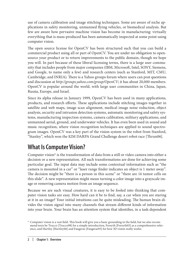use of camera calibration and image stitching techniques. Some are aware of niche applications in safety monitoring, unmanned flying vehicles, or biomedical analysis. But few are aware how pervasive machine vision has become in manufacturing: virtually everything that is mass-produced has been automatically inspected at some point using computer vision.

The open source license for OpenCV has been structured such that you can build a commercial product using all or part of OpenCV. You are under no obligation to opensource your product or to return improvements to the public domain, though we hope you will. In part because of these liberal licensing terms, there is a large user community that includes people from major companies (IBM, Microsoft , Intel, SONY, Siemens, and Google, to name only a few) and research centers (such as Stanford, MIT, CMU, Cambridge, and INRIA). There is a Yahoo groups forum where users can post questions and discussion at *http://groups.yahoo.com/group/OpenCV*; it has about 20,000 members. OpenCV is popular around the world, with large user communities in China, Japan, Russia, Europe, and Israel.

Since its alpha release in January 1999, OpenCV has been used in many applications, products, and research efforts. These applications include stitching images together in satellite and web maps, image scan alignment, medical image noise reduction, object analysis, security and intrusion detection systems, automatic monitoring and safety systems, manufacturing inspection systems, camera calibration, military applications, and unmanned aerial, ground, and underwater vehicles. It has even been used in sound and music recognition, where vision recognition techniques are applied to sound spectrogram images. OpenCV was a key part of the vision system in the robot from Stanford, "Stanley", which won the \$2M DARPA Grand Challenge desert robot race [Thrun06].

# **What Is Computer Vision?**

Computer vision\* is the transformation of data from a still or video camera into either a decision or a new representation. All such transformations are done for achieving some particular goal. The input data may include some contextual information such as "the camera is mounted in a car" or "laser range finder indicates an object is 1 meter away". The decision might be "there is a person in this scene" or "there are 14 tumor cells on this slide". A new representation might mean turning a color image into a grayscale image or removing camera motion from an image sequence.

Because we are such visual creatures, it is easy to be fooled into thinking that computer vision tasks are easy. How hard can it be to find, say, a car when you are staring at it in an image? Your initial intuitions can be quite misleading. The human brain divides the vision signal into many channels that stream different kinds of information into your brain. Your brain has an attention system that identifies, in a task-dependent

<sup>\*</sup> Computer vision is a vast field. This book will give you a basic grounding in the field, but we also recommend texts by Trucco [Trucco98] for a simple introduction, Forsyth [Forsyth03] as a comprehensive reference, and Hartley [Hartley06] and Faugeras [Faugeras93] for how 3D vision really works.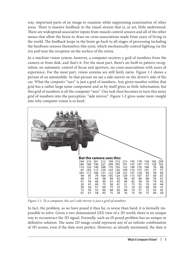way, important parts of an image to examine while suppressing examination of other areas. There is massive feedback in the visual stream that is, as yet, little understood. There are widespread associative inputs from muscle control sensors and all of the other senses that allow the brain to draw on cross-associations made from years of living in the world. The feedback loops in the brain go back to all stages of processing including the hardware sensors themselves (the eyes), which mechanically control lighting via the iris and tune the reception on the surface of the retina.

In a machine vision system, however, a computer receives a grid of numbers from the camera or from disk, and that's it. For the most part, there's no built-in pattern recognition, no automatic control of focus and aperture, no cross-associations with years of experience. For the most part, vision systems are still fairly naïve. Figure 1-1 shows a picture of an automobile. In that picture we see a side mirror on the driver's side of the car. What the *computer* "sees" is just a grid of numbers. Any given number within that grid has a rather large noise component and so by itself gives us little information, but this grid of numbers is all the computer "sees". Our task then becomes to turn this noisy grid of numbers into the perception: "side mirror". Figure 1-2 gives some more insight into why computer vision is so hard.

| <b>Diess</b><br>ac//Etu/I<br><b>ADV</b><br>ia Research Lab. |                                                                          |                                                                           |                                                                           |                                                                            |                                                                            |                                                                            |                                                                            |                                                                            |                                                                            |                                                                          |                                                                        |                                                                        |
|-------------------------------------------------------------|--------------------------------------------------------------------------|---------------------------------------------------------------------------|---------------------------------------------------------------------------|----------------------------------------------------------------------------|----------------------------------------------------------------------------|----------------------------------------------------------------------------|----------------------------------------------------------------------------|----------------------------------------------------------------------------|----------------------------------------------------------------------------|--------------------------------------------------------------------------|------------------------------------------------------------------------|------------------------------------------------------------------------|
|                                                             |                                                                          |                                                                           |                                                                           | But the camera sees this:                                                  |                                                                            |                                                                            |                                                                            |                                                                            |                                                                            |                                                                          |                                                                        |                                                                        |
|                                                             | 194<br>180<br>114<br>87<br>102<br>94<br>68<br>41<br>20<br>50<br>72<br>67 | 210<br>189<br>126<br>103<br>112<br>95<br>71<br>56<br>41<br>50<br>59<br>61 | 201<br>190<br>140<br>115<br>106<br>79<br>69<br>68<br>69<br>57<br>53<br>58 | 212<br>221<br>188<br>154<br>131<br>104<br>98<br>99<br>75<br>69<br>66<br>65 | 199<br>209<br>176<br>143<br>122<br>105<br>89<br>63<br>56<br>75<br>84<br>75 | 213<br>205<br>165<br>142<br>138<br>124<br>92<br>45<br>41<br>75<br>92<br>78 | 215<br>191<br>152<br>149<br>152<br>129<br>98<br>60<br>51<br>73<br>84<br>76 | 195<br>167<br>140<br>153<br>147<br>113<br>95<br>82<br>73<br>74<br>74<br>73 | 178<br>147<br>170<br>173<br>128<br>107<br>89<br>58<br>55<br>53<br>57<br>59 | 158<br>115<br>106<br>101<br>84<br>87<br>88<br>76<br>70<br>68<br>72<br>75 | 182<br>129<br>78<br>57<br>58<br>69<br>76<br>74<br>63<br>59<br>63<br>69 | 209<br>163<br>88<br>57<br>66<br>67<br>67<br>65<br>44<br>37<br>42<br>50 |

*Figure 1-1. To a computer, the car's side mirror is just a grid of numbers*

In fact, the problem, as we have posed it thus far, is worse than hard; it is formally impossible to solve. Given a two-dimensional (2D) view of a 3D world, there is no unique way to reconstruct the 3D signal. Formally, such an ill-posed problem has no unique or definitive solution. The same 2D image could represent any of an infinite combination of 3D scenes, even if the data were perfect. However, as already mentioned, the data is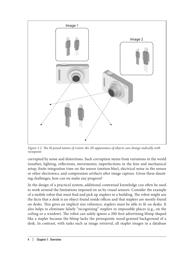

Figure 1-2. The ill-posed nature of vision: the 2D appearance of objects can change radically with *viewpoint*

corrupted by noise and distortions. Such corruption stems from variations in the world (weather, lighting, reflections, movements), imperfections in the lens and mechanical setup, finite integration time on the sensor (motion blur), electrical noise in the sensor or other electronics, and compression artifacts after image capture. Given these daunting challenges, how can we make any progress?

In the design of a practical system, additional contextual knowledge can often be used to work around the limitations imposed on us by visual sensors. Consider the example of a mobile robot that must find and pick up staplers in a building. The robot might use the facts that a desk is an object found inside offices and that staplers are mostly found on desks. This gives an implicit size reference; staplers must be able to fit on desks. It also helps to eliminate falsely "recognizing" staplers in impossible places (e.g., on the ceiling or a window). The robot can safely ignore a 200-foot advertising blimp shaped like a stapler because the blimp lacks the prerequisite wood-grained background of a desk. In contrast, with tasks such as image retrieval, all stapler images in a database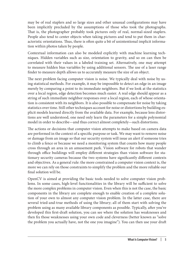may be of real staplers and so large sizes and other unusual configurations may have been implicitly precluded by the assumptions of those who took the photographs. That is, the photographer probably took pictures only of real, normal-sized staplers. People also tend to center objects when taking pictures and tend to put them in characteristic orientations. Thus, there is often quite a bit of unintentional implicit information within photos taken by people.

Contextual information can also be modeled explicitly with machine learning techniques. Hidden variables such as size, orientation to gravity, and so on can then be correlated with their values in a labeled training set. Alternatively, one may attempt to measure hidden bias variables by using additional sensors. The use of a laser range finder to measure depth allows us to accurately measure the size of an object.

The next problem facing computer vision is noise. We typically deal with noise by using statistical methods. For example, it may be impossible to detect an edge in an image merely by comparing a point to its immediate neighbors. But if we look at the statistics over a local region, edge detection becomes much easier. A real edge should appear as a string of such immediate neighbor responses over a local region, each of whose orientation is consistent with its neighbors. It is also possible to compensate for noise by taking statistics over time. Still other techniques account for noise or distortions by building explicit models learned directly from the available data. For example, because lens distortions are well understood, one need only learn the parameters for a simple polynomial model in order to describe—and thus correct almost completely—such distortions.

The actions or decisions that computer vision attempts to make based on camera data are performed in the context of a specific purpose or task. We may want to remove noise or damage from an image so that our security system will issue an alert if someone tries to climb a fence or because we need a monitoring system that counts how many people cross through an area in an amusement park. Vision software for robots that wander through office buildings will employ different strategies than vision software for stationary security cameras because the two systems have significantly different contexts and objectives. As a general rule: the more constrained a computer vision context is, the more we can rely on those constraints to simplify the problem and the more reliable our final solution will be.

OpenCV is aimed at providing the basic tools needed to solve computer vision problems. In some cases, high-level functionalities in the library will be sufficient to solve the more complex problems in computer vision. Even when this is not the case, the basic components in the library are complete enough to enable creation of a complete solution of your own to almost any computer vision problem. In the latter case, there are several tried-and-true methods of using the library; all of them start with solving the problem using as many available library components as possible. Typically, after you've developed this first-draft solution, you can see where the solution has weaknesses and then fix those weaknesses using your own code and cleverness (better known as "solve the problem you actually have, not the one you imagine"). You can then use your draft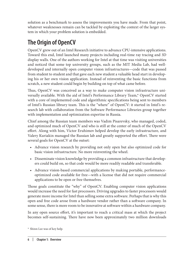solution as a benchmark to assess the improvements you have made. From that point, whatever weaknesses remain can be tackled by exploiting the context of the larger system in which your problem solution is embedded.

# **The Origin of OpenCV**

OpenCV grew out of an Intel Research initiative to advance CPU-intensive applications. Toward this end, Intel launched many projects including real-time ray tracing and 3D display walls. One of the authors working for Intel at that time was visiting universities and noticed that some top university groups, such as the MIT Media Lab, had welldeveloped and internally open computer vision infrastructures—code that was passed from student to student and that gave each new student a valuable head start in developing his or her own vision application. Instead of reinventing the basic functions from scratch, a new student could begin by building on top of what came before.

Thus, OpenCV was conceived as a way to make computer vision infrastructure universally available. With the aid of Intel's Performance Library Team,\* OpenCV started with a core of implemented code and algorithmic specifications being sent to members of Intel's Russian library team. This is the "where" of OpenCV: it started in Intel's research lab with collaboration from the Software Performance Libraries group together with implementation and optimization expertise in Russia.

Chief among the Russian team members was Vadim Pisarevsky, who managed, coded, and optimized much of OpenCV and who is still at the center of much of the OpenCV effort. Along with him, Victor Eruhimov helped develop the early infrastructure, and Valery Kuriakin managed the Russian lab and greatly supported the effort. There were several goals for OpenCV at the outset:

- Advance vision research by providing not only open but also optimized code for basic vision infrastructure. No more reinventing the wheel.
- Disseminate vision knowledge by providing a common infrastructure that developers could build on, so that code would be more readily readable and transferable.
- Advance vision-based commercial applications by making portable, performanceoptimized code available for free—with a license that did not require commercial applications to be open or free themselves.

Those goals constitute the "why" of OpenCV. Enabling computer vision applications would increase the need for fast processors. Driving upgrades to faster processors would generate more income for Intel than selling some extra soft ware. Perhaps that is why this open and free code arose from a hardware vendor rather than a software company. In some sense, there is more room to be innovative at software within a hardware company.

In any open source effort, it's important to reach a critical mass at which the project becomes self-sustaining. There have now been approximately two million downloads

<sup>\*</sup> Shinn Lee was of key help.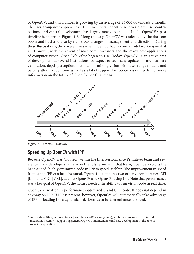of OpenCV, and this number is growing by an average of 26,000 downloads a month. The user group now approaches 20,000 members. OpenCV receives many user contributions, and central development has largely moved outside of Intel.\* OpenCV's past timeline is shown in Figure 1-3. Along the way, OpenCV was affected by the dot-com boom and bust and also by numerous changes of management and direction. During these fluctuations, there were times when OpenCV had no one at Intel working on it at all. However, with the advent of multicore processors and the many new applications of computer vision, OpenCV's value began to rise. Today, OpenCV is an active area of development at several institutions, so expect to see many updates in multicamera calibration, depth perception, methods for mixing vision with laser range finders, and better pattern recognition as well as a lot of support for robotic vision needs. For more information on the future of OpenCV, see Chapter 14.



*Figure 1-3. OpenCV timeline*

#### **Speeding Up OpenCV with IPP**

Because OpenCV was "housed" within the Intel Performance Primitives team and several primary developers remain on friendly terms with that team, OpenCV exploits the hand-tuned, highly optimized code in IPP to speed itself up. The improvement in speed from using IPP can be substantial. Figure 1-4 compares two other vision libraries, LTI [LTI] and VXL [VXL], against OpenCV and OpenCV using IPP. Note that performance was a key goal of OpenCV; the library needed the ability to run vision code in real time.

OpenCV is written in performance-optimized C and C++ code. It does *not* depend in any way on IPP. If IPP is present, however, OpenCV will automatically take advantage of IPP by loading IPP's dynamic link libraries to further enhance its speed.

<sup>\*</sup> As of this writing, Willow Garage [WG] (*www.willowgarage.com*), a robotics research institute and incubator, is actively supporting general OpenCV maintenance and new development in the area of robotics applications.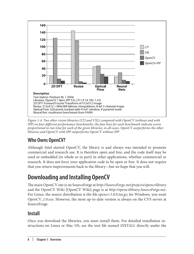

*Figure 1-4. Two other vision libraries (LTI and VXL) compared with OpenCV (without and with IPP) on four different performance benchmarks: the four bars for each benchmark indicate scores proportional to run time for each of the given libraries; in all cases, OpenCV outperforms the other libraries and OpenCV with IPP outperforms OpenCV without IPP*

#### **Who Owns OpenCV?**

Although Intel started OpenCV, the library is and always was intended to promote commercial and research use. It is therefore open and free, and the code itself may be used or embedded (in whole or in part) in other applications, whether commercial or research. It does not force your application code to be open or free. It does not require that you return improvements back to the library—but we hope that you will.

# **Downloading and Installing OpenCV**

The main OpenCV site is on SourceForge at *http://SourceForge.net/projects/opencvlibrary* and the OpenCV Wiki [OpenCV Wiki] page is at *http://opencvlibrary.SourceForge.net*. For Linux, the source distribution is the file *opency-1.0.0.tar.gz*; for Windows, you want *OpenCV\_1.0.exe*. However, the most up-to-date version is always on the CVS server at SourceForge.

#### **Install**

Once you download the libraries, you must install them. For detailed installation instructions on Linux or Mac OS, see the text file named *INSTALL* directly under the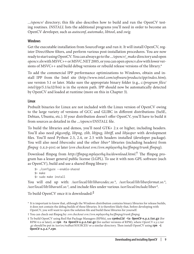.../opency/ directory; this file also describes how to build and run the OpenCV testing routines. *INSTALL* lists the additional programs you'll need in order to become an OpenCV developer, such as *autoconf*, *automake*, *libtool*, and *swig*.

#### **Windows**

Get the executable installation from SourceForge and run it. It will install OpenCV, register DirectShow filters, and perform various post-installation procedures. You are now ready to start using OpenCV. You can always go to the *.../opencv/\_make* directory and open *opencv.sln* with MSVC++ or MSVC.NET 2005, or you can open *opencv.dsw* with lower ver sions of MSVC++ and build debug versions or rebuild release versions of the library.\*

To add the commercial IPP performance optimizations to Windows, obtain and install IPP from the Intel site (*http://www.intel.com/software/products/ipp/index.htm*); use version 5.1 or later. Make sure the appropriate binary folder (e.g., *c:/program files/ intel/ipp/5.1/ia32/bin*) is in the system path. IPP should now be automatically detected by OpenCV and loaded at runtime (more on this in Chapter 3).

#### **Linux**

Prebuilt binaries for Linux are not included with the Linux version of OpenCV owing to the large variety of versions of GCC and GLIBC in different distributions (SuSE, Debian, Ubuntu, etc.). If your distribution doesn't offer OpenCV, you'll have to build it from sources as detailed in the *.../opencv*/INSTALL file.

To build the libraries and demos, you'll need GTK+ 2.x or higher, including headers. You'll also need *pkgconfig*, *libpng*, *zlib*, *libjpeg*, *libtiff*, and *libjasper* with development files. You'll need Python 2.3, 2.4, or 2.5 with headers installed (developer package). You will also need *libavcodec* and the other *libav\** libraries (including headers) from *ffmpeg* 0.4.9-pre1 or later (*svn checkout svn://svn.mplayerhq.hu/ffmpeg/trunk ffmpeg*).

Download ffmpeg from *http://ffmpeg.mplayerhq.hu/download.html*.<sup>†</sup> The ffmpeg program has a lesser general public license (LGPL). To use it with non-GPL software (such as OpenCV), build and use a shared ffmpg library:

```
$> ./configure --enable-shared
$> make
$> sudo make install
```
You will end up with: */usr/local/lib/libavcodec.so.\**, */usr/local/lib/libavformat.so.\**, */usr/local/lib/libavutil.so.\**, and include fi les under various */usr/local/include/libav\**.

To build OpenCV once it is downloaded:‡

<sup>\*</sup> It is important to know that, although the Windows distribution contains binary libraries for release builds, it does not contain the debug builds of these libraries. It is therefore likely that, before developing with OpenCV, you will want to open the solution file and build these libraries for yourself.

<sup>†</sup> You can check out ff mpeg by: *svn checkout svn://svn.mplayerhq.hu/ff mpeg/trunk ff mpeg.*

<sup>‡</sup> To build OpenCV using Red Hat Package Managers (RPMs), use **rpmbuild -ta OpenCV-x.y.z.tar.gz** (for RPM 4.x or later), or **rpm -ta OpenCV-x.y.z.tar.gz** (for earlier versions of RPM), where *OpenCV-x.y.z.tar .gz* should be put in /usr/src/redhat/SOURCES/ or a similar directory. Then install OpenCV using **rpm** -i **OpenCV-x.y.z.\*.rpm**.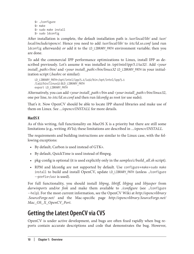```
$> ./configure
$> make
$> sudo make install
$> sudo ldconfig
```
After installation is complete, the default installation path is /usr/local/lib/ and /usr/ *local/include/opencv/*. Hence you need to add */usr/local/lib/* to */etc/ld.so.conf* (and run ldconfig afterwards) or add it to the LD LIBRARY PATH environment variable; then you are done.

To add the commercial IPP performance optimizations to Linux, install IPP as described previously. Let's assume it was installed in */opt/intel/ipp/5.1/ia32/*. Add *<your install\_path>/bin/* and *<your install\_path>/bin/linux32* LD\_LIBRARY\_PATH in your initialization script (*.bashrc* or similar):

```
LD_LIBRARY_PATH=/opt/intel/ipp/5.1/ia32/bin:/opt/intel/ipp/5.1
/ia32/bin/linux32:$LD_LIBRARY_PATH
export LD_LIBRARY_PATH
```
Alternatively, you can add *<your install\_path>/bin* and *<your install\_path>/bin/linux32*, one per line, to /etc/ld.so.conf and then run *ldconfig* as root (or use sudo).

That's it. Now OpenCV should be able to locate IPP shared libraries and make use of them on Linux. See *.../opencv/INSTALL* for more details.

#### **MacOS X**

As of this writing, full functionality on MacOS X is a priority but there are still some limitations (e.g., writing AVIs); these limitations are described in *.../opencv/INSTALL*.

The requirements and building instructions are similar to the Linux case, with the following exceptions:

- By default, Carbon is used instead of GTK+.
- By default, QuickTime is used instead of ffmpeg.
- pkg-config is optional (it is used explicitly only in the *samples/c/build\_all.sh* script).
- RPM and ldconfig are not supported by default. Use configure+make+sudo make install to build and install OpenCV, update LD\_LIBRARY\_PATH (unless ./configure --prefix=/usr is used).

For full functionality, you should install *libpng*, *libtiff*, *libjpeg* and *libjasper* from *darwinports* and/or *fink* and make them available to *./configure* (see ./configure --help). For the most current information, see the OpenCV Wiki at *http://opencvlibrary .SourceForge.net/* and the Mac-specifi c page *http://opencvlibrary.SourceForge.net/ Mac\_OS\_X\_OpenCV\_Port*.

### **Getting the Latest OpenCV via CVS**

OpenCV is under active development, and bugs are often fixed rapidly when bug reports contain accurate descriptions and code that demonstrates the bug. However,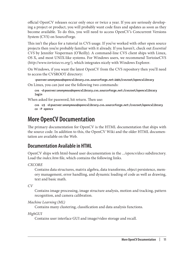official OpenCV releases occur only once or twice a year. If you are seriously developing a project or product, you will probably want code fixes and updates as soon as they become available. To do this, you will need to access OpenCV's Concurrent Versions System (CVS) on SourceForge.

This isn't the place for a tutorial in CVS usage. If you've worked with other open source projects then you're probably familiar with it already. If you haven't, check out *Essential CVS* by Jennifer Vesperman (O'Reilly). A command-line CVS client ships with Linux, OS X, and most UNIX-like systems. For Windows users, we recommend TortoiseCVS (*http://www.tortoisecvs.org/*), which integrates nicely with Windows Explorer.

On Windows, if you want the latest OpenCV from the CVS repository then you'll need to access the CVSROOT directory:

**:pserver:anonymous@opencvlibrary.cvs.sourceforge.net:2401/cvsroot/opencvlibrary** On Linux, you can just use the following two commands:

```
cvs -d:pserver:anonymous@opencvlibrary.cvs.sourceforge.net:/cvsroot/opencvlibrary 
login
```
When asked for password, hit return. Then use:

```
cvs -z3 -d:pserver:anonymous@opencvlibrary.cvs.sourceforge.net:/cvsroot/opencvlibrary 
co -P opencv
```
### **More OpenCV Documentation**

The primary documentation for OpenCV is the HTML documentation that ships with the source code. In addition to this, the OpenCV Wiki and the older HTML documentation are available on the Web.

#### **Documentation Available in HTML**

OpenCV ships with html-based user documentation in the *.../opencv/docs* subdirectory. Load the *index.htm* file, which contains the following links.

*CXCORE*

Contains data structures, matrix algebra, data transforms, object persistence, memory management, error handling, and dynamic loading of code as well as drawing, text and basic math.

*CV*

Contains image processing, image structure analysis, motion and tracking, pattern recognition, and camera calibration.

*Machine Learning (ML)*

Contains many clustering, classification and data analysis functions.

*HighGUI*

Contains user interface GUI and image/video storage and recall.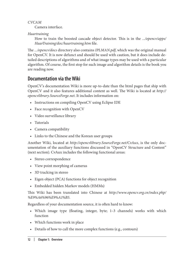#### *CVCAM* Camera interface.

*Haartraining*

How to train the boosted cascade object detector. This is in the *.../opencv/apps/ HaarTraining/doc/haartraining.htm* file.

The .../opency/docs directory also contains *IPLMAN.pdf*, which was the original manual for OpenCV. It is now defunct and should be used with caution, but it does include detailed descriptions of algorithms and of what image types may be used with a particular algorithm. Of course, the first stop for such image and algorithm details is the book you are reading now.

#### **Documentation via the Wiki**

OpenCV's documentation Wiki is more up-to-date than the html pages that ship with OpenCV and it also features additional content as well. The Wiki is located at *http:// opencvlibrary.SourceForge.net*. It includes information on:

- Instructions on compiling OpenCV using Eclipse IDE
- Face recognition with OpenCV
- Video surveillance library
- Tutorials
- Camera compatibility
- Links to the Chinese and the Korean user groups

Another Wiki, located at *http://opencvlibrary.SourceForge.net/CvAux*, is the only documentation of the auxiliary functions discussed in "OpenCV Structure and Content" (next section). CvAux includes the following functional areas:

- Stereo correspondence
- View point morphing of cameras
- 3D tracking in stereo
- Eigen object (PCA) functions for object recognition
- Embedded hidden Markov models (HMMs)

This Wiki has been translated into Chinese at *http://www.opencv.org.cn/index.php/ %E9%A6%96%E9%A1%B5*.

Regardless of your documentation source, it is often hard to know:

- Which image type (floating, integer, byte; 1–3 channels) works with which function
- Which functions work in place
- Details of how to call the more complex functions (e.g., contours)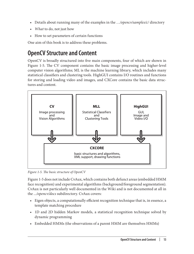- Details about running many of the examples in the *…/opencv/samples/c/* directory
- *What* to do, not just how
- How to set parameters of certain functions

One aim of this book is to address these problems.

### **OpenCV Structure and Content**

OpenCV is broadly structured into five main components, four of which are shown in Figure 1-5. The CV component contains the basic image processing and higher-level computer vision algorithms; ML is the machine learning library, which includes many statistical classifiers and clustering tools. HighGUI contains I/O routines and functions for storing and loading video and images, and CXCore contains the basic data structures and content.



Figure 1-5. The basic structure of OpenCV

Figure 1-5 does not include CvAux, which contains both defunct areas (embedded HMM face recognition) and experimental algorithms (background/foreground segmentation). CvAux is not particularly well documented in the Wiki and is not documented at all in the *.../opencv/docs* subdirectory. CvAux covers:

- Eigen objects, a computationally efficient recognition technique that is, in essence, a template matching procedure
- 1D and 2D hidden Markov models, a statistical recognition technique solved by dynamic programming
- Embedded HMMs (the observations of a parent HMM are themselves HMMs)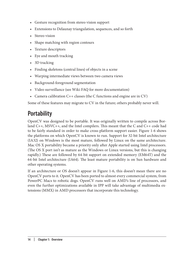- Gesture recognition from stereo vision support
- Extensions to Delaunay triangulation, sequences, and so forth
- Stereo vision
- Shape matching with region contours
- Texture descriptors
- Eye and mouth tracking
- 3D tracking
- Finding skeletons (central lines) of objects in a scene
- Warping intermediate views between two camera views
- Background-foreground segmentation
- Video surveillance (see Wiki FAQ for more documentation)
- Camera calibration C++ classes (the C functions and engine are in CV)

Some of these features may migrate to CV in the future; others probably never will.

# **Portability**

OpenCV was designed to be portable. It was originally written to compile across Borland  $C_{++}$ , MSV $C_{++}$ , and the Intel compilers. This meant that the C and  $C_{++}$  code had to be fairly standard in order to make cross-platform support easier. Figure 1-6 shows the platforms on which OpenCV is known to run. Support for 32-bit Intel architecture (IA32) on Windows is the most mature, followed by Linux on the same architecture. Mac OS X portability became a priority only after Apple started using Intel processors. (The OS X port isn't as mature as the Windows or Linux versions, but this is changing rapidly.) These are followed by 64-bit support on extended memory (EM64T) and the 64-bit Intel architecture (IA64). The least mature portability is on Sun hardware and other operating systems.

If an architecture or OS doesn't appear in Figure 1-6, this doesn't mean there are no OpenCV ports to it. OpenCV has been ported to almost every commercial system, from PowerPC Macs to robotic dogs. OpenCV runs well on AMD's line of processors, and even the further optimizations available in IPP will take advantage of multimedia extensions (MMX) in AMD processors that incorporate this technology.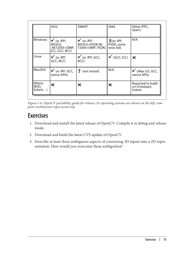|                             | <b>IA32</b>                                                        | EM64T                                                      | <b>IA64</b>                                 | Other (PPC,<br>Sparc)                         |
|-----------------------------|--------------------------------------------------------------------|------------------------------------------------------------|---------------------------------------------|-----------------------------------------------|
| Windows                     | $\checkmark$ (w. IPP;<br>MSVC6,<br>.NET2005+OMP,<br>ICC, GCC, BCC) | $\checkmark$ (w. IPP;<br>MSVC6+PSDK.NE<br>T2005+OMP, PSDK) | $\pm$ (w. IPP;<br>PSDK, some<br>tests fail) | N/A                                           |
| Linux                       | (w. IPP;<br>GCC, BCC)                                              | $\checkmark$ (w. IPP; GCC,<br>BCC)                         | $\checkmark$ (GCC, ICC)                     | $\boldsymbol{\times}$                         |
| <b>MacOSX</b>               | (w. IPP, GCC,<br>native APIs)                                      | ? (not tested)                                             | N/A                                         | $\checkmark$ (iMac G5, GCC,<br>native APIs)   |
| Others<br>(BSD,<br>Solaris) | ×                                                                  | $\bm{\times}$                                              | ×                                           | Reported to build<br>on UltraSparc<br>Solaris |

Figure 1-6. OpenCV portability guide for release 1.0: operating systems are shown on the left; com*puter architecture types across top*

#### **Exercises**

- 1. Download and install the latest release of OpenCV. Compile it in debug and release mode.
- 2. Download and build the latest CVS update of OpenCV.
- 3. Describe at least three ambiguous aspects of converting 3D inputs into a 2D representation. How would you overcome these ambiguities?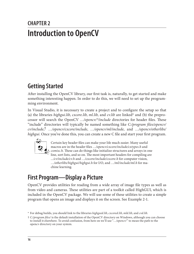# **CHAPTER 2 Introduction to OpenCV**

### **Getting Started**

After installing the OpenCV library, our first task is, naturally, to get started and make something interesting happen. In order to do this, we will need to set up the programming environment.

In Visual Studio, it is necessary to create a project and to configure the setup so that (a) the libraries *highgui.lib*, *cxcore.lib*, *ml.lib*, and *cv.lib* are linked\* and (b) the preprocessor will search the OpenCV *…/opency/\*/include* directories for header files. These "include" directories will typically be named something like *C:/program fi les/opencv/ cv/include*, † *…/opencv/cxcore/include*, *…/opencv/ml/include*, and *…/opencv/otherlibs/ highgui*. Once you've done this, you can create a new C file and start your first program.



Certain key header files can make your life much easier. Many useful macros are in the header files .../opencv/cxcore/include/cxtypes.h and *cxmisc.h*. These can do things like initialize structures and arrays in one line, sort lists, and so on. The most important headers for compiling are *.../cv/include/cv.h* and *…/cxcore/include/cxcore.h* for computer vision, *…/otherlibs/highgui/highgui.h* for I/O, and *…/ml/include/ml.h* for machine learning.

#### **First Program—Display a Picture**

OpenCV provides utilities for reading from a wide array of image file types as well as from video and cameras. These utilities are part of a toolkit called HighGUI, which is included in the OpenCV package. We will use some of these utilities to create a simple program that opens an image and displays it on the screen. See Example 2-1.

<sup>\*</sup> For debug builds, you should link to the libraries *highguid.lib*, *cxcored.lib*, *mld.lib*, and *cvd.lib*.

<sup>†</sup> *C:/program fi les/* is the default installation of the OpenCV directory on Windows, although you can choose to install it elsewhere. To avoid confusion, from here on we'll use "*…/opencv/*" to mean the path to the opencv directory on your system.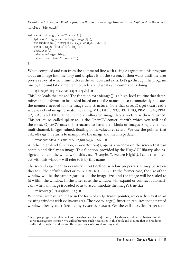*Example 2-1. A simple OpenCV program that loads an image from disk and displays it on the screen* #include "highgui.h"

```
int main( int argc, char** argv ) {
     IplImage* img = cvLoadImage( argv[1] );
    cvNamedWindow( "Example1", CV_WINDOW_AUTOSIZE );
    cvShowImage( "Example1", img );
    cvWaitKey(0);
    cvReleaseImage( &img );
    cvDestroyWindow( "Example1" );
}
```
When compiled and run from the command line with a single argument, this program loads an image into memory and displays it on the screen. It then waits until the user presses a key, at which time it closes the window and exits. Let's go through the program line by line and take a moment to understand what each command is doing.

IplImage\* img = cvLoadImage( argv[1] );

This line loads the image.\* The function cyloadImage() is a high-level routine that determines the file format to be loaded based on the file name; it also automatically allocates the memory needed for the image data structure. Note that cvLoadImage() can read a wide variety of image formats, including BMP, DIB, JPEG, JPE, PNG, PBM, PGM, PPM, SR, RAS, and TIFF. A pointer to an allocated image data structure is then returned. This structure, called IplImage, is the OpenCV construct with which you will deal the most. OpenCV uses this structure to handle all kinds of images: single-channel, multichannel, integer-valued, floating-point-valued, et cetera. We use the pointer that cvLoadImage() returns to manipulate the image and the image data.

```
cvNamedWindow( "Example1", CV WINDOW AUTOSIZE );
```
Another high-level function, cvNamedWindow(), opens a window on the screen that can contain and display an image. This function, provided by the HighGUI library, also assigns a name to the window (in this case, "Example1"). Future HighGUI calls that interact with this window will refer to it by this name.

The second argument to cyNamedWindow() defines window properties. It may be set either to 0 (the default value) or to CV\_WINDOW\_AUTOSIZE. In the former case, the size of the window will be the same regardless of the image size, and the image will be scaled to fit within the window. In the latter case, the window will expand or contract automatically when an image is loaded so as to accommodate the image's true size.

```
cvShowImage( "Example1", img );
```
Whenever we have an image in the form of an IplImage\* pointer, we can display it in an existing window with cvShowImage(). The cvShowImage() function requires that a named window already exist (created by cvNamedWindow()). On the call to cvShowImage(), the

 $*$  A proper program would check for the existence of argy $[1]$  and, in its absence, deliver an instructional error message for the user. We will abbreviate such necessities in this book and assume that the reader is cultured enough to understand the importance of error-handling code.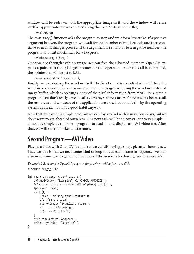window will be redrawn with the appropriate image in it, and the window will resize itself as appropriate if it was created using the CV WINDOW AUTOSIZE flag.

```
cvWaitKey(0);
```
The cvWaitKey() function asks the program to stop and wait for a keystroke. If a positive argument is given, the program will wait for that number of milliseconds and then continue even if nothing is pressed. If the argument is set to 0 or to a negative number, the program will wait indefinitely for a keypress.

```
cvReleaseImage( &img );
```
Once we are through with an image, we can free the allocated memory. OpenCV expects a pointer to the IplImage\* pointer for this operation. After the call is completed, the pointer img will be set to NULL.

```
cvDestroyWindow( "Example1" );
```
Finally, we can destroy the window itself. The function cvDestroyWindow() will close the window and de-allocate any associated memory usage (including the window's internal image buffer, which is holding a copy of the pixel information from  $\frac{1}{2}$  For a simple program, you don't really have to call cvDestroyWindow() or cvReleaseImage() because all the resources and windows of the application are closed automatically by the operating system upon exit, but it's a good habit anyway.

Now that we have this simple program we can toy around with it in various ways, but we don't want to get ahead of ourselves. Our next task will be to construct a very simple almost as simple as this one—program to read in and display an AVI video file. After that, we will start to tinker a little more.

# **Second Program—AVI Video**

Playing a video with OpenCV is almost as easy as displaying a single picture. The only new issue we face is that we need some kind of loop to read each frame in sequence; we may also need some way to get out of that loop if the movie is too boring. See Example 2-2.

*Example 2-2. A simple OpenCV program for playing a video file from disk* #include "highgui.h"

```
int main( int argc, char** argv ) {
    cvNamedWindow( "Example2", CV_WINDOW_AUTOSIZE );
    CvCapture* capture = cvCreateFileCapture( argv[1] );
    IplImage* frame;
   while(1) {
         frame = cvQueryFrame( capture );
         if( !frame ) break;
         cvShowImage( "Example2", frame );
        char c = cvWaitKey(33);if( c == 27 ) break;
 }
     cvReleaseCapture( &capture );
    cvDestroyWindow( "Example2" );
}
```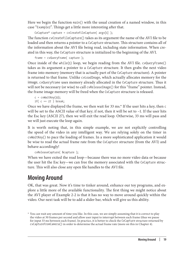Here we begin the function main() with the usual creation of a named window, in this case "Example2". Things get a little more interesting after that.

```
CvCapture* capture = cvCreateFileCapture( argv[1] );
```
The function cvCreateFileCapture() takes as its argument the name of the AVI file to be loaded and then returns a pointer to a CvCapture structure. This structure contains all of the information about the AVI file being read, including state information. When created in this way, the CvCapture structure is initialized to the beginning of the AVI.

```
frame = cvQueryFrame( capture );
```
Once inside of the while(1) loop, we begin reading from the AVI file.  $cvQueryFrame()$ takes as its argument a pointer to a CvCapture structure. It then grabs the next video frame into memory (memory that is actually part of the CvCapture structure). A pointer is returned to that frame. Unlike cvLoadImage, which actually allocates memory for the image, cvQueryFrame uses memory already allocated in the CvCapture structure. Thus it will not be necessary (or wise) to call cvReleaseImage() for this "frame" pointer. Instead, the frame image memory will be freed when the CvCapture structure is released.

```
c = cvWaitKey(33);if( c == 27 ) break;
```
Once we have displayed the frame, we then wait for 33 ms.\* If the user hits a key, then c will be set to the ASCII value of that key; if not, then it will be set to  $-1$ . If the user hits the Esc key (ASCII 27), then we will exit the read loop. Otherwise, 33 ms will pass and we will just execute the loop again.

It is worth noting that, in this simple example, we are not explicitly controlling the speed of the video in any intelligent way. We are relying solely on the timer in cvWaitKey() to pace the loading of frames. In a more sophisticated application it would be wise to read the actual frame rate from the CvCapture structure (from the AVI) and behave accordingly!

```
cvReleaseCapture( &capture );
```
When we have exited the read loop—because there was no more video data or because the user hit the Esc key—we can free the memory associated with the CvCapture structure. This will also close any open file handles to the AVI file.

# **Moving Around**

OK, that was great. Now it's time to tinker around, enhance our toy programs, and explore a little more of the available functionality. The first thing we might notice about the AVI player of Example 2-2 is that it has no way to move around quickly within the video. Our next task will be to add a slider bar, which will give us this ability.

<sup>\*</sup> You can wait any amount of time you like. In this case, we are simply assuming that it is correct to play the video at 30 frames per second and allow user input to interrupt between each frame (thus we pause for input 33 ms between each frame). In practice, it is better to check the CvCapture structure returned by cvCaptureFromCamera() in order to determine the actual frame rate (more on this in Chapter 4).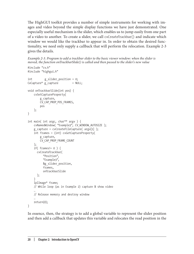The HighGUI toolkit provides a number of simple instruments for working with images and video beyond the simple display functions we have just demonstrated. One especially useful mechanism is the slider, which enables us to jump easily from one part of a video to another. To create a slider, we call cvCreateTrackbar() and indicate which window we would like the trackbar to appear in. In order to obtain the desired functionality, we need only supply a callback that will perform the relocation. Example 2-3 gives the details.

*Example 2-3. Program to add a trackbar slider to the basic viewer window: when the slider is moved, the function onTrackbarSlide() is called and then passed to the slider's new value*

```
#include "cv.h"
#include "highgui.h"
int g slider position = 0;
CvCapture* gcapture = NULL;void onTrackbarSlide(int pos) {
    cvSetCaptureProperty(
        g_capture,
         CV_CAP_PROP_POS_FRAMES,
         pos
    );
}
int main( int argc, char** argv ) {
   cvNamedWindow( "Example3", CV WINDOW AUTOSIZE );
   g capture = cvCreateFileCapture(argv[1]);
     int frames = (int) cvGetCaptureProperty(
         g_capture,
        CV_CAP_PROP_FRAME_COUNT
    );
   if( frames!= 0 ) {
       cvCreateTrackbar(
           "Position",
           "Example3",
           &g_slider_position,
           frames,
           onTrackbarSlide
       );
    }
    IplImage* frame;
    // While loop (as in Example 2) capture & show video
 …
    // Release memory and destroy window
…
    return(0);
}
```
In essence, then, the strategy is to add a global variable to represent the slider position and then add a callback that updates this variable and relocates the read position in the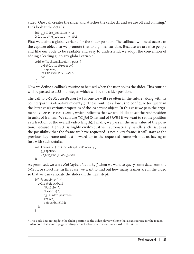video. One call creates the slider and attaches the callback, and we are off and running.\* Let's look at the details.

```
int g slider position = 0;
CvCapture* g_capture = NULL;
```
First we define a global variable for the slider position. The callback will need access to the capture object, so we promote that to a global variable. Because we are nice people and like our code to be readable and easy to understand, we adopt the convention of adding a leading g\_to any global variable.

```
void onTrackbarSlide(int pos) {
     cvSetCaptureProperty(
     g_capture,
     CV_CAP_PROP_POS_FRAMES,
     pos
  );
```
Now we define a callback routine to be used when the user pokes the slider. This routine will be passed to a 32-bit integer, which will be the slider position.

The call to cvSetCaptureProperty() is one we will see often in the future, along with its counterpart cvGetCaptureProperty(). These routines allow us to configure (or query in the latter case) various properties of the CvCapture object. In this case we pass the argument CV\_CAP\_PROP\_POS\_FRAMES, which indicates that we would like to set the read position in units of frames. (We can use AVI\_RATIO instead of FRAMES if we want to set the position as a fraction of the overall video length). Finally, we pass in the new value of the position. Because HighGUI is highly civilized, it will automatically handle such issues as the possibility that the frame we have requested is not a key-frame; it will start at the previous key-frame and fast forward up to the requested frame without us having to fuss with such details.

```
int frames = (int) cvGetCaptureProperty(
     g_capture,
     CV_CAP_PROP_FRAME_COUNT
);
```
As promised, we use cvGetCaptureProperty()when we want to query some data from the CvCapture structure. In this case, we want to find out how many frames are in the video so that we can calibrate the slider (in the next step).

```
if( frames!= 0 ) {
   cvCreateTrackbar(
        "Position",
        "Example3",
       &g_slider_position,
       frames,
       onTrackbarSlide
   );
}
```
\* This code does not update the slider position as the video plays; we leave that as an exercise for the reader. Also note that some mpeg encodings do not allow you to move backward in the video.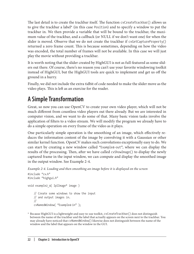The last detail is to create the trackbar itself. The function cvCreateTrackbar() allows us to give the trackbar a label\* (in this case Position) and to specify a window to put the trackbar in. We then provide a variable that will be bound to the trackbar, the maximum value of the trackbar, and a callback (or NULL if we don't want one) for when the slider is moved. Observe that we do not create the trackbar if cvGetCaptureProperty() returned a zero frame count. This is because sometimes, depending on how the video was encoded, the total number of frames will not be available. In this case we will just play the movie without providing a trackbar.

It is worth noting that the slider created by HighGUI is not as full-featured as some sliders out there. Of course, there's no reason you can't use your favorite windowing toolkit instead of HighGUI, but the HighGUI tools are quick to implement and get us off the ground in a hurry.

Finally, we did not include the extra tidbit of code needed to make the slider move as the video plays. This is left as an exercise for the reader.

# **A Simple Transformation**

Great, so now you can use OpenCV to create your own video player, which will not be much different from countless video players out there already. But we are interested in computer vision, and we want to do some of that. Many basic vision tasks involve the application of filters to a video stream. We will modify the program we already have to do a simple operation on every frame of the video as it plays.

One particularly simple operation is the smoothing of an image, which effectively reduces the information content of the image by convolving it with a Gaussian or other similar kernel function. OpenCV makes such convolutions exceptionally easy to do. We can start by creating a new window called "Example4-out", where we can display the results of the processing. Then, after we have called cvShowImage() to display the newly captured frame in the input window, we can compute and display the smoothed image in the output window. See Example 2-4.

*Example 2-4. Loading and then smoothing an image before it is displayed on the screen*

```
#include "cv.h"
#include "highgui.h"
void example2_4( IplImage* image )
    // Create some windows to show the input
    // and output images in.
    //
    cvNamedWindow( "Example4-in" );
```
<sup>\*</sup> Because HighGUI is a lightweight and easy-to-use toolkit, cvCreateTrackbar() does not distinguish between the name of the trackbar and the label that actually appears on the screen next to the trackbar. You may already have noticed that cvNamedWindow() likewise does not distinguish between the name of the window and the label that appears on the window in the GUI.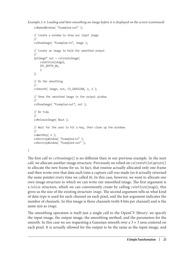*Example 2-4. Loading and then smoothing an image before it is displayed on the screen (continued)* cvNamedWindow( "Example4-out" );

```
 // Create a window to show our input image
 //
 cvShowImage( "Example4-in", image );
 // Create an image to hold the smoothed output
 //
 IplImage* out = cvCreateImage(
     cvGetSize(image),
     IPL_DEPTH_8U,
     3
 );
 // Do the smoothing
 //
 cvSmooth( image, out, CV_GAUSSIAN, 3, 3 );
 // Show the smoothed image in the output window
 //
 cvShowImage( "Example4-out", out );
 // Be tidy
 //
 cvReleaseImage( &out );
 // Wait for the user to hit a key, then clean up the windows
 //
 cvWaitKey( 0 ); 
 cvDestroyWindow( "Example4-in" );
 cvDestroyWindow( "Example4-out" );
```
}

The first call to cyShowImage() is no different than in our previous example. In the next call, we allocate another image structure. Previously we relied on cvCreateFileCapture() to allocate the new frame for us. In fact, that routine actually allocated only one frame and then wrote over that data each time a capture call was made (so it actually returned the same pointer every time we called it). In this case, however, we want to allocate our own image structure to which we can write our smoothed image. The first argument is a CvSize structure, which we can conveniently create by calling cvGetSize(image); this gives us the size of the existing structure image. The second argument tells us what kind of data type is used for each channel on each pixel, and the last argument indicates the number of channels. So this image is three channels (with 8 bits per channel) and is the same size as image.

The smoothing operation is itself just a single call to the OpenCV library: we specify the input image, the output image, the smoothing method, and the parameters for the smooth. In this case we are requesting a Gaussian smooth over a  $3 \times 3$  area centered on each pixel. It is actually allowed for the output to be the same as the input image, and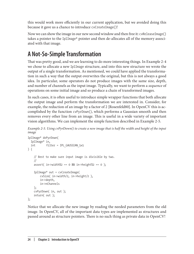this would work more efficiently in our current application, but we avoided doing this because it gave us a chance to introduce cvCreateImage()!

Now we can show the image in our new second window and then free it: cvReleaseImage() takes a pointer to the IplImage\* pointer and then de-allocates all of the memory associated with that image.

# **A Not-So-Simple Transformation**

That was pretty good, and we are learning to do more interesting things. In Example 2-4 we chose to allocate a new IplImage structure, and into this new structure we wrote the output of a single transformation. As mentioned, we could have applied the transformation in such a way that the output overwrites the original, but this is not always a good idea. In particular, some operators do not produce images with the same size, depth, and number of channels as the input image. Typically, we want to perform a *sequence* of operations on some initial image and so produce a chain of transformed images.

In such cases, it is often useful to introduce simple wrapper functions that both allocate the output image and perform the transformation we are interested in. Consider, for example, the reduction of an image by a factor of 2 [Rosenfeld80]. In OpenCV this is accomplished by the function cvPyrDown(), which performs a Gaussian smooth and then removes every other line from an image. This is useful in a wide variety of important vision algorithms. We can implement the simple function described in Example 2-5.

*Example 2-5. Using cvPyrDown() to create a new image that is half the width and height of the input image*

```
IplImage* doPyrDown(
  IplImage* in,
  int filter = IPL_GAUSSIAN_5x5
) {
    // Best to make sure input image is divisible by two.
 //
   assert( in->width%2 == 0 && in->height%2 == 0 );
    IplImage* out = cvCreateImage( 
         cvSize( in->width/2, in->height/2 ),
         in->depth,
         in->nChannels
    );
    cvPyrDown( in, out );
    return( out );
};
```
Notice that we allocate the new image by reading the needed parameters from the old image. In OpenCV, all of the important data types are implemented as structures and passed around as structure pointers. There is no such thing as private data in OpenCV!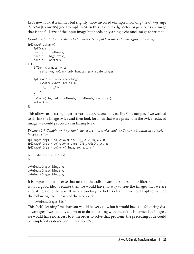Let's now look at a similar but slightly more involved example involving the *Canny edge detector* [Canny86] (see Example 2-6). In this case, the edge detector generates an image that is the full size of the input image but needs only a single channel image to write to.

*Example 2-6. The Canny edge detector writes its output to a single channel (grayscale) image* 

```
IplImage* doCanny(
    IplImage* in,
              lowThresh.
    double highThresh,
    double aperture
) {
    If(in->nChannels != 1)
         return(0); //Canny only handles gray scale images
     IplImage* out = cvCreateImage(
         cvSize( cvGetSize( in ),
         IPL_DEPTH_8U, 
 1
     );
    cvCanny( in, out, lowThresh, highThresh, aperture );
    return( out );
};
```
This allows us to string together various operators quite easily. For example, if we wanted to shrink the image twice and then look for lines that were present in the twice-reduced image, we could proceed as in Example 2-7.

*Example 2-7. Combining the pyramid down operator (twice) and the Canny subroutine in a simple image pipeline*

```
IplImage* img1 = doPyrDown( in, IPL_GAUSSIAN_5x5 );
IplImage* img2 = doPyrDown( img1, IPL_GAUSSIAN_5x5 );
IplImage* img3 = doCanny( img2, 10, 100, 3 );
// do whatever with 'img3'
//
…
cvReleaseImage( &img1 );
cvReleaseImage( &img2 );
cvReleaseImage( &img3 );
```
It is important to observe that nesting the calls to various stages of our filtering pipeline is not a good idea, because then we would have no way to free the images that we are allocating along the way. If we are too lazy to do this cleanup, we could opt to include the following line in each of the wrappers:

```
cvReleaseImage( &in );
```
This "self-cleaning" mechanism would be very tidy, but it would have the following disadvantage: if we actually did want to do something with one of the intermediate images, we would have no access to it. In order to solve that problem, the preceding code could be simplified as described in Example 2-8.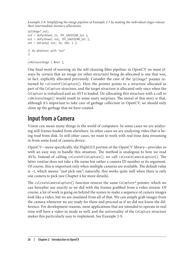*Example 2-8. Simplifying the image pipeline of Example 2-7 by making the individual stages release their intermediate memory allocations*

```
IplImage* out;
out = doPyrDown( in, IPL GAUSSIAN 5x5 );
out = doPyrDown( out, IPL GAUSSIAN 5x5 );
out = doCanny( out, 10, 100, 3 );
// do whatever with 'out'
//
…
cvReleaseImage ( &out );
```
One final word of warning on the self-cleaning filter pipeline: in OpenCV we must always be certain that an image (or other structure) being de-allocated is one that was, in fact, explicitly allocated previously. Consider the case of the IplImage\* pointer returned by cvCreateFileCapture(). Here the pointer points to a structure allocated as part of the CvCapture structure, and the target structure is allocated only once when the CvCapture is initialized and an AVI is loaded. De-allocating this structure with a call to cvReleaseImage() would result in some nasty surprises. The moral of this story is that, although it's important to take care of garbage collection in OpenCV, we should only clean up the garbage that we have created.

# **Input from a Camera**

Vision can mean many things in the world of computers. In some cases we are analyzing still frames loaded from elsewhere. In other cases we are analyzing video that is being read from disk. In still other cases, we want to work with real-time data streaming in from some kind of camera device.

OpenCV—more specifically, the HighGUI portion of the OpenCV library—provides us with an easy way to handle this situation. The method is analogous to how we read AVIs. Instead of calling cvCreateFileCapture(), we call cvCreateCameraCapture(). The latter routine does not take a file name but rather a camera ID number as its argument. Of course, this is important only when multiple cameras are available. The default value is –1, which means "just pick one"; naturally, this works quite well when there is only one camera to pick (see Chapter 4 for more details).

The cvCreateCameraCapture() function returns the same CvCapture\* pointer, which we can hereafter use exactly as we did with the frames grabbed from a video stream. Of course, a lot of work is going on behind the scenes to make a sequence of camera images look like a video, but we are insulated from all of that. We can simply grab images from the camera whenever we are ready for them and proceed as if we did not know the difference. For development reasons, most applications that are intended to operate in real time will have a video-in mode as well, and the universality of the CvCapture structure makes this particularly easy to implement. See Example 2-9.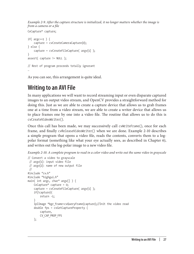*Example 2-9. After the capture structure is initialized, it no longer matters whether the image is from a camera or a file* 

```
CvCapture* capture;
if( argc==1 ) {
    capture = cvCreateCameraCapture(0);
} else {
    capture = cvCreateFileCapture( argv[1] );
}
assert( capture != NULL );
// Rest of program proceeds totally ignorant
…
```
As you can see, this arrangement is quite ideal.

## **Writing to an AVI File**

In many applications we will want to record streaming input or even disparate captured images to an output video stream, and OpenCV provides a straightforward method for doing this. Just as we are able to create a capture device that allows us to grab frames one at a time from a video stream, we are able to create a writer device that allows us to place frames one by one into a video file. The routine that allows us to do this is cvCreateVideoWriter().

Once this call has been made, we may successively call cvWriteFrame(), once for each frame, and finally cvReleaseVideoWriter() when we are done. Example 2-10 describes a simple program that opens a video file, reads the contents, converts them to a logpolar format (something like what your eye actually sees, as described in Chapter 6), and writes out the log-polar image to a new video file.

*Example 2-10. A complete program to read in a color video and write out the same video in grayscale*

```
// Convert a video to grayscale
 // argv[1]: input video file
  // argv[2]: name of new output file
  //
#include "cv.h"
#include "highgui.h"
main( int argc, char* argv[] ) {
     CvCapture* capture = 0;
     capture = cvCreateFileCapture( argv[1] );
     if(!capture){
         return -1;
 }
     IplImage *bgr_frame=cvQueryFrame(capture);//Init the video read
     double fps = cvGetCaptureProperty (
         capture,
         CV_CAP_PROP_FPS
     );
```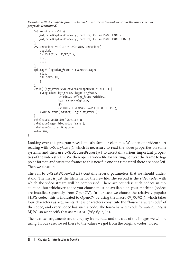*Example 2-10. A complete program to read in a color video and write out the same video in grayscale (continued)*

```
 CvSize size = cvSize(
        (int)cvGetCaptureProperty( capture, CV_CAP_PROP_FRAME_WIDTH),
        (int)cvGetCaptureProperty( capture, CV_CAP_PROP_FRAME_HEIGHT)
    );
    CvVideoWriter *writer = cvCreateVideoWriter(
         argv[2],
         CV_FOURCC('M','J','P','G'),
         fps,
         size
    );
    IplImage* logpolar_frame = cvCreateImage(
         size,
         IPL_DEPTH_8U,
 3
    );
   while( (bgr frame=cvQueryFrame(capture)) != NULL ) {
        cvLogPolar( bgr frame, logpolar frame,
                     cvPoint2D32f(bgr_frame->width/2,
                     bgr_frame->height/2),
 40,
                    CV_INTER_LINEAR+CV_WARP_FILL_OUTLIERS );
        cvWriteFrame( writer, logpolar frame );
    }
    cvReleaseVideoWriter( &writer );
    cvReleaseImage( &logpolar_frame );
    cvReleaseCapture( &capture );
    return(0);
```

```
Looking over this program reveals mostly familiar elements. We open one video; start 
reading with cvQueryFrame(), which is necessary to read the video properties on some 
systems; and then use cvGetCaptureProperty() to ascertain various important proper-
ties of the video stream. We then open a video file for writing, convert the frame to log-
polar format, and write the frames to this new file one at a time until there are none left.
Then we close up.
```
The call to cvCreateVideoWriter() contains several parameters that we should understand. The first is just the filename for the new file. The second is the *video codec* with which the video stream will be compressed. There are countless such codecs in circulation, but whichever codec you choose must be available on your machine (codecs are installed separately from OpenCV). In our case we choose the relatively popular *MJPG* codec; this is indicated to OpenCV by using the macro CV FOURCC(), which takes four characters as arguments. These characters constitute the "four-character code" of the codec, and every codec has such a code. The four-character code for *motion ipeg* is MJPG, so we specify that as CV FOURCC( $(W', 'J', 'P', 'G')$ .

The next two arguments are the replay frame rate, and the size of the images we will be using. In our case, we set these to the values we got from the original (color) video.

}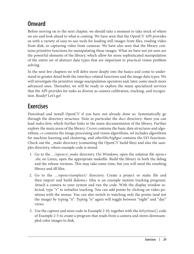# **Onward**

Before moving on to the next chapter, we should take a moment to take stock of where we are and look ahead to what is coming. We have seen that the OpenCV API provides us with a variety of easy-to-use tools for loading still images from files, reading video from disk, or capturing video from cameras. We have also seen that the library contains primitive functions for manipulating these images. What we have not yet seen are the powerful elements of the library, which allow for more sophisticated manipulation of the entire set of abstract data types that are important to practical vision problem solving.

In the next few chapters we will delve more deeply into the basics and come to understand in greater detail both the interface-related functions and the image data types. We will investigate the primitive image manipulation operators and, later, some much more advanced ones. Thereafter, we will be ready to explore the many specialized services that the API provides for tasks as diverse as camera calibration, tracking, and recognition. Ready? Let's go!

### **Exercises**

Download and install OpenCV if you have not already done so. Systematically go through the directory structure. Note in particular the *docs* directory; there you can load *index.htm*, which further links to the main documentation of the library. Further explore the main areas of the library. *Cvcore* contains the basic data structures and algorithms, *cv* contains the image processing and vision algorithms, *ml* includes algorithms for machine learning and clustering, and *otherlibs/highgui* contains the I/O functions. Check out the *\_make* directory (containing the OpenCV build files) and also the samples directory, where example code is stored.

- 1. Go to the *…/opencv/\_make* directory. On Windows, open the solution file *opencv .sln*; on Linux, open the appropriate makefile. Build the library in both the debug and the release versions. This may take some time, but you will need the resulting library and *dll* files.
- 2. Go to the *.../opency/samples/c/* directory. Create a project or make file and then import and build *lkdemo.c* (this is an example motion tracking program). Attach a camera to your system and run the code. With the display window selected, type "r" to initialize tracking. You can add points by clicking on video positions with the mouse. You can also switch to watching only the points (and not the image) by typing "n". Typing "n" again will toggle between "night" and "day" views.
- 3. Use the capture and store code in Example 2-10, together with the doPyrDown() code of Example 2-5 to create a program that reads from a camera and stores downsampled color images to disk.